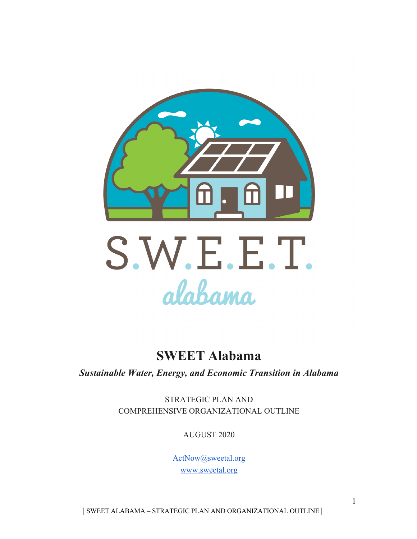

# **SWEET Alabama**

*Sustainable Water, Energy, and Economic Transition in Alabama*

STRATEGIC PLAN AND COMPREHENSIVE ORGANIZATIONAL OUTLINE

AUGUST 2020

ActNow@sweetal.org www.sweetal.org

**|** SWEET ALABAMA – STRATEGIC PLAN AND ORGANIZATIONAL OUTLINE **|**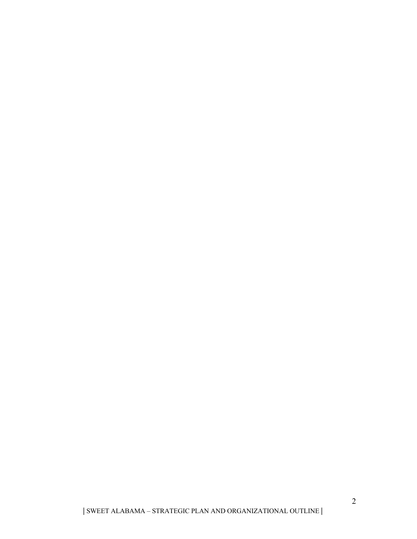2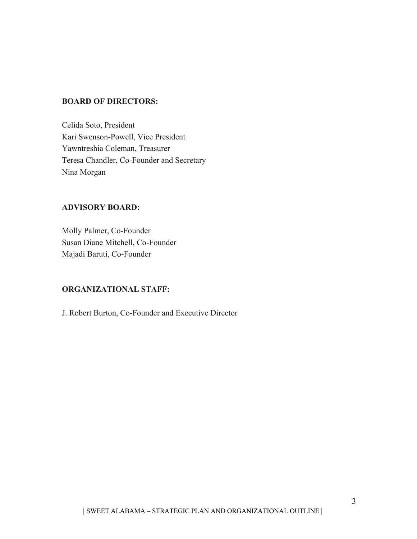### **BOARD OF DIRECTORS:**

Celida Soto, President Kari Swenson-Powell, Vice President Yawntreshia Coleman, Treasurer Teresa Chandler, Co-Founder and Secretary Nina Morgan

### **ADVISORY BOARD:**

Molly Palmer, Co-Founder Susan Diane Mitchell, Co-Founder Majadi Baruti, Co-Founder

### **ORGANIZATIONAL STAFF:**

J. Robert Burton, Co-Founder and Executive Director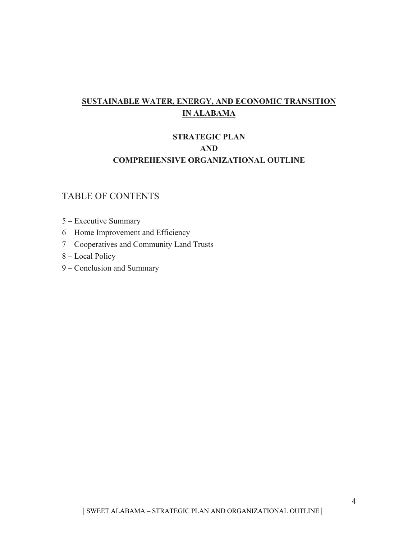# **SUSTAINABLE WATER, ENERGY, AND ECONOMIC TRANSITION IN ALABAMA**

# **STRATEGIC PLAN AND COMPREHENSIVE ORGANIZATIONAL OUTLINE**

# TABLE OF CONTENTS

- 5 Executive Summary
- 6 Home Improvement and Efficiency
- 7 Cooperatives and Community Land Trusts
- 8 Local Policy
- 9 Conclusion and Summary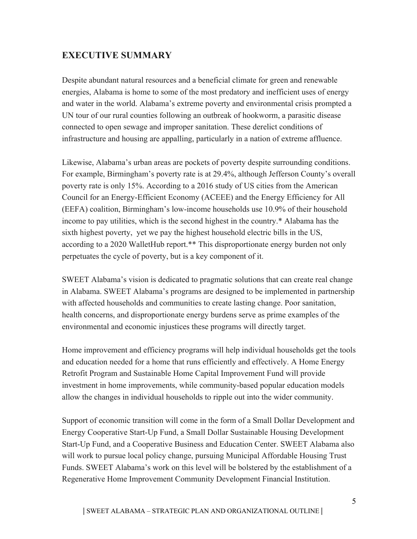# **EXECUTIVE SUMMARY**

Despite abundant natural resources and a beneficial climate for green and renewable energies, Alabama is home to some of the most predatory and inefficient uses of energy and water in the world. Alabama's extreme poverty and environmental crisis prompted a UN tour of our rural counties following an outbreak of hookworm, a parasitic disease connected to open sewage and improper sanitation. These derelict conditions of infrastructure and housing are appalling, particularly in a nation of extreme affluence.

Likewise, Alabama's urban areas are pockets of poverty despite surrounding conditions. For example, Birmingham's poverty rate is at 29.4%, although Jefferson County's overall poverty rate is only 15%. According to a 2016 study of US cities from the American Council for an Energy-Efficient Economy (ACEEE) and the Energy Efficiency for All (EEFA) coalition, Birmingham's low-income households use 10.9% of their household income to pay utilities, which is the second highest in the country.\* Alabama has the sixth highest poverty, yet we pay the highest household electric bills in the US, according to a 2020 WalletHub report.\*\* This disproportionate energy burden not only perpetuates the cycle of poverty, but is a key component of it.

SWEET Alabama's vision is dedicated to pragmatic solutions that can create real change in Alabama. SWEET Alabama's programs are designed to be implemented in partnership with affected households and communities to create lasting change. Poor sanitation, health concerns, and disproportionate energy burdens serve as prime examples of the environmental and economic injustices these programs will directly target.

Home improvement and efficiency programs will help individual households get the tools and education needed for a home that runs efficiently and effectively. A Home Energy Retrofit Program and Sustainable Home Capital Improvement Fund will provide investment in home improvements, while community-based popular education models allow the changes in individual households to ripple out into the wider community.

Support of economic transition will come in the form of a Small Dollar Development and Energy Cooperative Start-Up Fund, a Small Dollar Sustainable Housing Development Start-Up Fund, and a Cooperative Business and Education Center. SWEET Alabama also will work to pursue local policy change, pursuing Municipal Affordable Housing Trust Funds. SWEET Alabama's work on this level will be bolstered by the establishment of a Regenerative Home Improvement Community Development Financial Institution.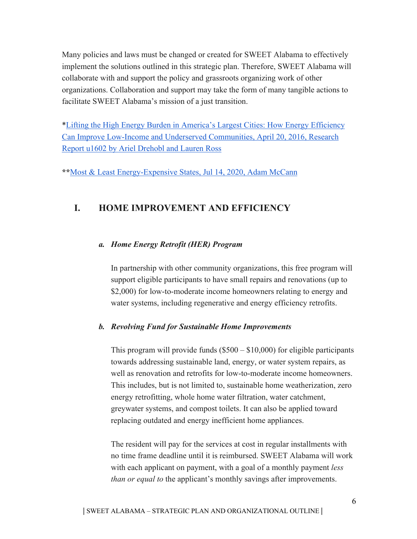Many policies and laws must be changed or created for SWEET Alabama to effectively implement the solutions outlined in this strategic plan. Therefore, SWEET Alabama will collaborate with and support the policy and grassroots organizing work of other organizations. Collaboration and support may take the form of many tangible actions to facilitate SWEET Alabama's mission of a just transition.

\*Lifting the High Energy Burden in America's Largest Cities: How Energy Efficiency Can Improve Low-Income and Underserved Communities, April 20, 2016, Research Report u1602 by Ariel Drehobl and Lauren Ross

**\*\***Most & Least Energy-Expensive States, Jul 14, 2020, Adam McCann

# **I. HOME IMPROVEMENT AND EFFICIENCY**

#### *a. Home Energy Retrofit (HER) Program*

In partnership with other community organizations, this free program will support eligible participants to have small repairs and renovations (up to \$2,000) for low-to-moderate income homeowners relating to energy and water systems, including regenerative and energy efficiency retrofits.

#### *b. Revolving Fund for Sustainable Home Improvements*

This program will provide funds (\$500 – \$10,000) for eligible participants towards addressing sustainable land, energy, or water system repairs, as well as renovation and retrofits for low-to-moderate income homeowners. This includes, but is not limited to, sustainable home weatherization, zero energy retrofitting, whole home water filtration, water catchment, greywater systems, and compost toilets. It can also be applied toward replacing outdated and energy inefficient home appliances.

The resident will pay for the services at cost in regular installments with no time frame deadline until it is reimbursed. SWEET Alabama will work with each applicant on payment, with a goal of a monthly payment *less than or equal to* the applicant's monthly savings after improvements.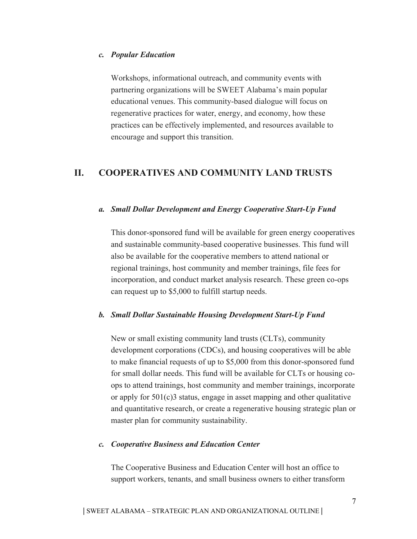#### *c. Popular Education*

Workshops, informational outreach, and community events with partnering organizations will be SWEET Alabama's main popular educational venues. This community-based dialogue will focus on regenerative practices for water, energy, and economy, how these practices can be effectively implemented, and resources available to encourage and support this transition.

# **II. COOPERATIVES AND COMMUNITY LAND TRUSTS**

#### *a. Small Dollar Development and Energy Cooperative Start-Up Fund*

This donor-sponsored fund will be available for green energy cooperatives and sustainable community-based cooperative businesses. This fund will also be available for the cooperative members to attend national or regional trainings, host community and member trainings, file fees for incorporation, and conduct market analysis research. These green co-ops can request up to \$5,000 to fulfill startup needs.

#### *b. Small Dollar Sustainable Housing Development Start-Up Fund*

New or small existing community land trusts (CLTs), community development corporations (CDCs), and housing cooperatives will be able to make financial requests of up to \$5,000 from this donor-sponsored fund for small dollar needs. This fund will be available for CLTs or housing coops to attend trainings, host community and member trainings, incorporate or apply for 501(c)3 status, engage in asset mapping and other qualitative and quantitative research, or create a regenerative housing strategic plan or master plan for community sustainability.

#### *c. Cooperative Business and Education Center*

The Cooperative Business and Education Center will host an office to support workers, tenants, and small business owners to either transform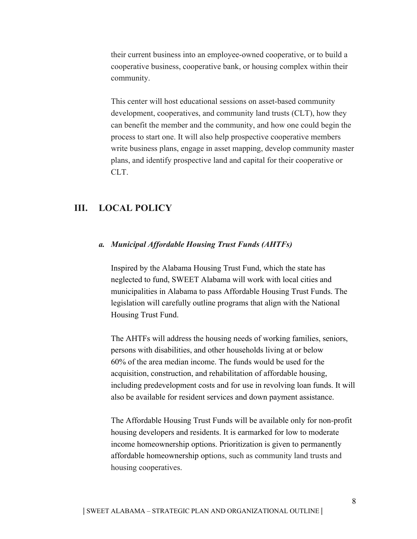their current business into an employee-owned cooperative, or to build a cooperative business, cooperative bank, or housing complex within their community.

This center will host educational sessions on asset-based community development, cooperatives, and community land trusts (CLT), how they can benefit the member and the community, and how one could begin the process to start one. It will also help prospective cooperative members write business plans, engage in asset mapping, develop community master plans, and identify prospective land and capital for their cooperative or CLT.

# **III. LOCAL POLICY**

#### *a. Municipal Affordable Housing Trust Funds (AHTFs)*

Inspired by the Alabama Housing Trust Fund, which the state has neglected to fund, SWEET Alabama will work with local cities and municipalities in Alabama to pass Affordable Housing Trust Funds. The legislation will carefully outline programs that align with the National Housing Trust Fund.

The AHTFs will address the housing needs of working families, seniors, persons with disabilities, and other households living at or below 60% of the area median income. The funds would be used for the acquisition, construction, and rehabilitation of affordable housing, including predevelopment costs and for use in revolving loan funds. It will also be available for resident services and down payment assistance.

The Affordable Housing Trust Funds will be available only for non-profit housing developers and residents. It is earmarked for low to moderate income homeownership options. Prioritization is given to permanently affordable homeownership options, such as community land trusts and housing cooperatives.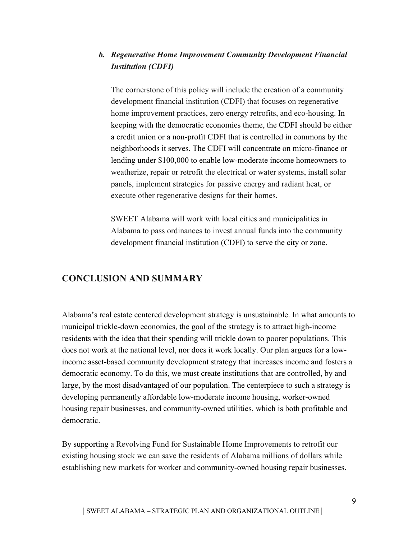# *b. Regenerative Home Improvement Community Development Financial Institution (CDFI)*

The cornerstone of this policy will include the creation of a community development financial institution (CDFI) that focuses on regenerative home improvement practices, zero energy retrofits, and eco-housing. In keeping with the democratic economies theme, the CDFI should be either a credit union or a non-profit CDFI that is controlled in commons by the neighborhoods it serves. The CDFI will concentrate on micro-finance or lending under \$100,000 to enable low-moderate income homeowners to weatherize, repair or retrofit the electrical or water systems, install solar panels, implement strategies for passive energy and radiant heat, or execute other regenerative designs for their homes.

SWEET Alabama will work with local cities and municipalities in Alabama to pass ordinances to invest annual funds into the community development financial institution (CDFI) to serve the city or zone.

### **CONCLUSION AND SUMMARY**

Alabama's real estate centered development strategy is unsustainable. In what amounts to municipal trickle-down economics, the goal of the strategy is to attract high-income residents with the idea that their spending will trickle down to poorer populations. This does not work at the national level, nor does it work locally. Our plan argues for a lowincome asset-based community development strategy that increases income and fosters a democratic economy. To do this, we must create institutions that are controlled, by and large, by the most disadvantaged of our population. The centerpiece to such a strategy is developing permanently affordable low-moderate income housing, worker-owned housing repair businesses, and community-owned utilities, which is both profitable and democratic.

By supporting a Revolving Fund for Sustainable Home Improvements to retrofit our existing housing stock we can save the residents of Alabama millions of dollars while establishing new markets for worker and community-owned housing repair businesses.